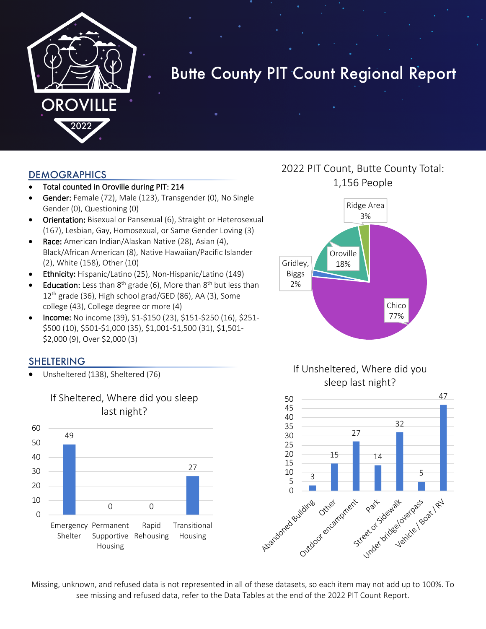

# Butte County PIT Count Regional Report

#### DEMOGRAPHICS

- Total counted in Oroville during PIT: 214
- Gender: Female (72), Male (123), Transgender (0), No Single Gender (0), Questioning (0)
- Orientation: Bisexual or Pansexual (6), Straight or Heterosexual (167), Lesbian, Gay, Homosexual, or Same Gender Loving (3)
- Race: American Indian/Alaskan Native (28), Asian (4), Black/African American (8), Native Hawaiian/Pacific Islander (2), White (158), Other (10)
- Ethnicity: Hispanic/Latino (25), Non-Hispanic/Latino (149)
- **Education:** Less than  $8^{th}$  grade (6), More than  $8^{th}$  but less than 12<sup>th</sup> grade (36), High school grad/GED (86), AA (3), Some college (43), College degree or more (4)
- Income: No income (39), \$1-\$150 (23), \$151-\$250 (16), \$251- \$500 (10), \$501-\$1,000 (35), \$1,001-\$1,500 (31), \$1,501- \$2,000 (9), Over \$2,000 (3)

#### SHELTERING

• Unsheltered (138), Sheltered (76)



### If Sheltered, Where did you sleep last night?

# 2022 PIT Count, Butte County Total: 1,156 People







Missing, unknown, and refused data is not represented in all of these datasets, so each item may not add up to 100%. To see missing and refused data, refer to the Data Tables at the end of the 2022 PIT Count Report.